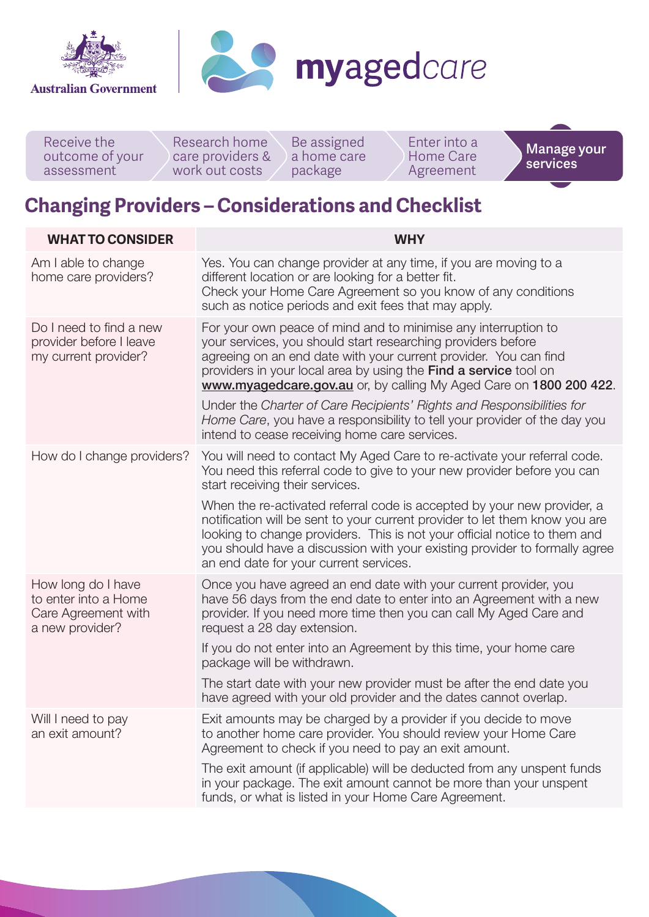



Research home care providers & work out costs Receive the outcome of your assessment Be assigned a home care package Enter into a Home Care Agreement **Manage your services**

## **Changing Providers – Considerations and Checklist**

| <b>WHAT TO CONSIDER</b>                                                              | <b>WHY</b>                                                                                                                                                                                                                                                                                                                                                  |
|--------------------------------------------------------------------------------------|-------------------------------------------------------------------------------------------------------------------------------------------------------------------------------------------------------------------------------------------------------------------------------------------------------------------------------------------------------------|
| Am I able to change<br>home care providers?                                          | Yes. You can change provider at any time, if you are moving to a<br>different location or are looking for a better fit.<br>Check your Home Care Agreement so you know of any conditions<br>such as notice periods and exit fees that may apply.                                                                                                             |
| Do I need to find a new<br>provider before I leave<br>my current provider?           | For your own peace of mind and to minimise any interruption to<br>your services, you should start researching providers before<br>agreeing on an end date with your current provider. You can find<br>providers in your local area by using the Find a service tool on<br>www.myagedcare.gov.au or, by calling My Aged Care on 1800 200 422.                |
|                                                                                      | Under the Charter of Care Recipients' Rights and Responsibilities for<br>Home Care, you have a responsibility to tell your provider of the day you<br>intend to cease receiving home care services.                                                                                                                                                         |
| How do I change providers?                                                           | You will need to contact My Aged Care to re-activate your referral code.<br>You need this referral code to give to your new provider before you can<br>start receiving their services.                                                                                                                                                                      |
|                                                                                      | When the re-activated referral code is accepted by your new provider, a<br>notification will be sent to your current provider to let them know you are<br>looking to change providers. This is not your official notice to them and<br>you should have a discussion with your existing provider to formally agree<br>an end date for your current services. |
| How long do I have<br>to enter into a Home<br>Care Agreement with<br>a new provider? | Once you have agreed an end date with your current provider, you<br>have 56 days from the end date to enter into an Agreement with a new<br>provider. If you need more time then you can call My Aged Care and<br>request a 28 day extension.                                                                                                               |
|                                                                                      | If you do not enter into an Agreement by this time, your home care<br>package will be withdrawn.                                                                                                                                                                                                                                                            |
|                                                                                      | The start date with your new provider must be after the end date you<br>have agreed with your old provider and the dates cannot overlap.                                                                                                                                                                                                                    |
| Will I need to pay<br>an exit amount?                                                | Exit amounts may be charged by a provider if you decide to move<br>to another home care provider. You should review your Home Care<br>Agreement to check if you need to pay an exit amount.                                                                                                                                                                 |
|                                                                                      | The exit amount (if applicable) will be deducted from any unspent funds<br>in your package. The exit amount cannot be more than your unspent<br>funds, or what is listed in your Home Care Agreement.                                                                                                                                                       |